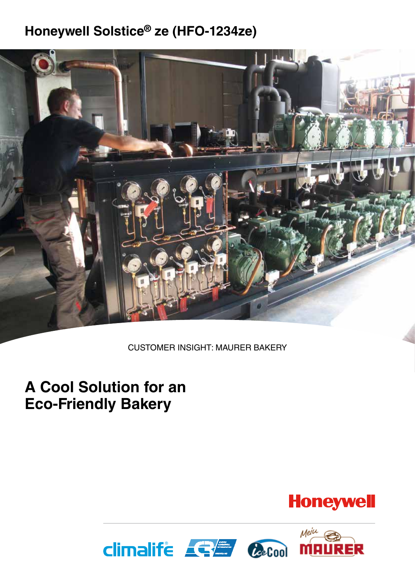### **Honeywell Solstice® ze (HFO-1234ze)**



CUSTOMER INSIGHT: MAURER BAKERY

### **A Cool Solution for an Eco-Friendly Bakery**



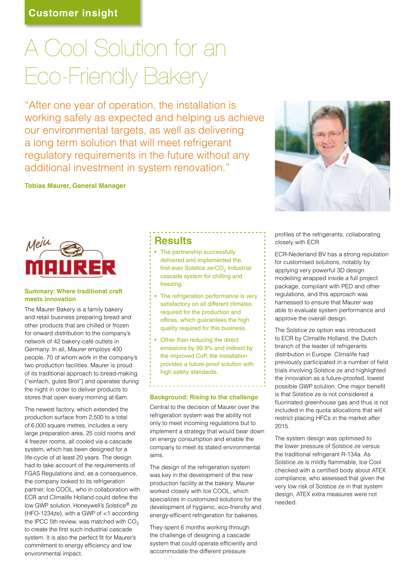# A Cool Solution for an Eco-Friendly Bakery

"After one year of operation, the installation is working safely as expected and helping us achieve our environmental targets, as well as delivering a long term solution that will meet refrigerant regulatory requirements in the future without any additional investment in system renovation."

### **Tobias Maurer, General Manager**



profiles of the refrigerants, collaborating closely with ECR.

ECR-Nederland BV has a strong reputation for customised solutions, notably by applying very powerful 3D design modelling wrapped inside a full project package, compliant with PED and other regulations, and this approach was harnessed to ensure that Maurer was able to evaluate system performance and approve the overall design.

The Solstice ze option was introduced to ECR by Climalife Holland, the Dutch branch of the leader of refrigerants distribution in Europe. Climalife had previously participated in a number of field trials involving Solstice ze and highlighted the innovation as a future-proofed, lowest possible GWP solution. One major benefit is that Solstice ze is not considered a fluorinated greenhouse gas and thus is not included in the quota allocations that will restrict placing HFCs in the market after 2015.

The system design was optimised to the lower pressure of Solstice ze versus the traditional refrigerant R-134a. As Solstice ze is mildly flammable, Ice Cool checked with a certified body about ATEX compliance, who assessed that given the very low risk of Solstice ze in that system design, ATEX extra measures were not needed.

### **Summary: Where traditional craft meets innovation**

The Maurer Bakery is a family bakery and retail business preparing bread and other products that are chilled or frozen for onward distribution to the company's network of 42 bakery-café outlets in Germany. In all, Maurer employs 400 people, 70 of whom work in the company's two production facilities. Maurer is proud of its traditional approach to bread-making ("einfach, gutes Brot") and operates during the night in order to deliver products to stores that open every morning at 6am.

The newest factory, which extended the production surface from 2,500 to a total of 6,000 square metres, includes a very large preparation area, 25 cold rooms and 4 freezer rooms, all cooled via a cascade system, which has been designed for a life-cycle of at least 20 years. The design had to take account of the requirements of FGAS Regulations and, as a consequence, the company looked to its refrigeration partner, Ice COOL, who in collaboration with ECR and Climalife Holland could define the low GWP solution. Honeywell's Solstice® ze (HFO-1234ze), with a GWP of <1 according the IPCC 5th review, was matched with  $CO<sub>2</sub>$ to create the first such industrial cascade system. It is also the perfect fit for Maurer's commitment to energy efficiency and low environmental impact.

### **Results**

- The partnership successfully delivered and implemented the first-ever Solstice ze/CO<sub>2</sub> industrial cascade system for chilling and freezing.
- The refrigeration performance is very satisfactory on all different climates required for the production and offices, which guarantees the high quality required for this business
- Other than reducing the direct emissions by 99.9% and indirect by the improved CoP, the installation provides a future-proof solution with high safety standards.

### **Background: Rising to the challenge**

Central to the decision of Maurer over the refrigeration system was the ability not only to meet incoming regulations but to implement a strategy that would bear down on energy consumption and enable the company to meet its stated environmental aims.

The design of the refrigeration system was key in the development of the new production facility at the bakery. Maurer worked closely with Ice COOL, which specializes in customized solutions for the development of hygienic, eco-friendly and energy-efficient refrigeration for bakeries.

They spent 6 months working through the challenge of designing a cascade system that could operate efficiently and accommodate the different pressure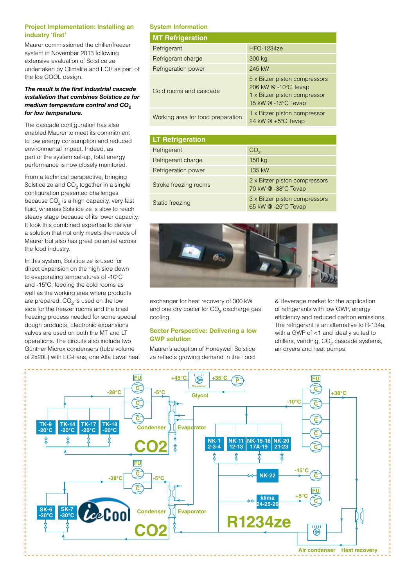### **Project Implementation: Installing an industry 'first'**

Maurer commissioned the chiller/freezer system in November 2013 following extensive evaluation of Solstice ze undertaken by Climalife and ECR as part of the Ice COOL design.

### *The result is the first industrial cascade installation that combines Solstice ze for medium temperature control and CO<sub>2</sub> for low temperature.*

The cascade configuration has also enabled Maurer to meet its commitment to low energy consumption and reduced environmental impact. Indeed, as part of the system set-up, total energy performance is now closely monitored.

From a technical perspective, bringing Solstice ze and  $CO<sub>2</sub>$  together in a single configuration presented challenges because  $CO<sub>2</sub>$  is a high capacity, very fast fluid, whereas Solstice ze is slow to reach steady stage because of its lower capacity. It took this combined expertise to deliver a solution that not only meets the needs of Maurer but also has great potential across the food industry.

In this system, Solstice ze is used for direct expansion on the high side down to evaporating temperatures of -10ºC and -15ºC, feeding the cold rooms as well as the working area where products are prepared.  $CO<sub>2</sub>$  is used on the low side for the freezer rooms and the blast freezing process needed for some special dough products. Electronic expansions valves are used on both the MT and LT operations. The circuits also include two Güntner Microx condensers (tube volume of 2x20L) with EC-Fans, one Alfa Laval heat

### **System Information**

| <b>MT Refrigeration</b>           |                                                                                                              |
|-----------------------------------|--------------------------------------------------------------------------------------------------------------|
| Refrigerant                       | <b>HFO-1234ze</b>                                                                                            |
| Refrigerant charge                | 300 kg                                                                                                       |
| Refrigeration power               | 245 kW                                                                                                       |
| Cold rooms and cascade            | 5 x Bitzer piston compressors<br>206 kW @ -10°C Tevap<br>1 x Bitzer piston compressor<br>15 kW @ -15°C Tevap |
| Working area for food preparation | 1 x Bitzer piston compressor<br>24 kW $\omega$ +5°C Tevap                                                    |

| <b>LT Refrigeration</b> |                                                      |
|-------------------------|------------------------------------------------------|
| Refrigerant             | CO <sub>2</sub>                                      |
| Refrigerant charge      | 150 kg                                               |
| Refrigeration power     | 135 kW                                               |
| Stroke freezing rooms   | 2 x Bitzer piston compressors<br>70 kW @ -38°C Tevap |
| Static freezing         | 3 x Bitzer piston compressors<br>65 kW @ -25°C Tevap |



exchanger for heat recovery of 300 kW and one dry cooler for  $CO<sub>2</sub>$  discharge gas cooling.

### **Sector Perspective: Delivering a low GWP solution**

Maurer's adoption of Honeywell Solstice ze reflects growing demand in the Food

& Beverage market for the application of refrigerants with low GWP, energy efficiency and reduced carbon emissions. The refrigerant is an alternative to R-134a, with a GWP of <1 and ideally suited to chillers, vending, CO<sub>2</sub> cascade systems, air dryers and heat pumps.